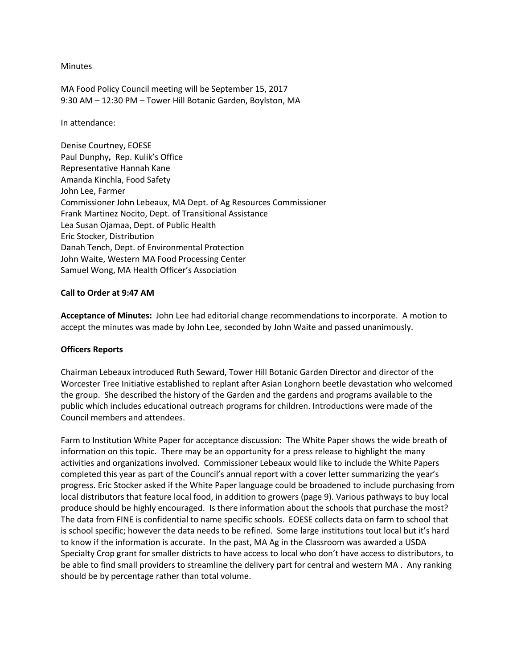#### Minutes

MA Food Policy Council meeting will be September 15, 2017 9:30 AM – 12:30 PM – Tower Hill Botanic Garden, Boylston, MA

In attendance:

Denise Courtney, EOESE Paul Dunphy**,** Rep. Kulik's Office Representative Hannah Kane Amanda Kinchla, Food Safety John Lee, Farmer Commissioner John Lebeaux, MA Dept. of Ag Resources Commissioner Frank Martinez Nocito, Dept. of Transitional Assistance Lea Susan Ojamaa, Dept. of Public Health Eric Stocker, Distribution Danah Tench, Dept. of Environmental Protection John Waite, Western MA Food Processing Center Samuel Wong, MA Health Officer's Association

### **Call to Order at 9:47 AM**

**Acceptance of Minutes:** John Lee had editorial change recommendations to incorporate. A motion to accept the minutes was made by John Lee, seconded by John Waite and passed unanimously.

## **Officers Reports**

Chairman Lebeaux introduced Ruth Seward, Tower Hill Botanic Garden Director and director of the Worcester Tree Initiative established to replant after Asian Longhorn beetle devastation who welcomed the group. She described the history of the Garden and the gardens and programs available to the public which includes educational outreach programs for children. Introductions were made of the Council members and attendees.

Farm to Institution White Paper for acceptance discussion: The White Paper shows the wide breath of information on this topic. There may be an opportunity for a press release to highlight the many activities and organizations involved. Commissioner Lebeaux would like to include the White Papers completed this year as part of the Council's annual report with a cover letter summarizing the year's progress. Eric Stocker asked if the White Paper language could be broadened to include purchasing from local distributors that feature local food, in addition to growers (page 9). Various pathways to buy local produce should be highly encouraged. Is there information about the schools that purchase the most? The data from FINE is confidential to name specific schools. EOESE collects data on farm to school that is school specific; however the data needs to be refined. Some large institutions tout local but it's hard to know if the information is accurate. In the past, MA Ag in the Classroom was awarded a USDA Specialty Crop grant for smaller districts to have access to local who don't have access to distributors, to be able to find small providers to streamline the delivery part for central and western MA . Any ranking should be by percentage rather than total volume.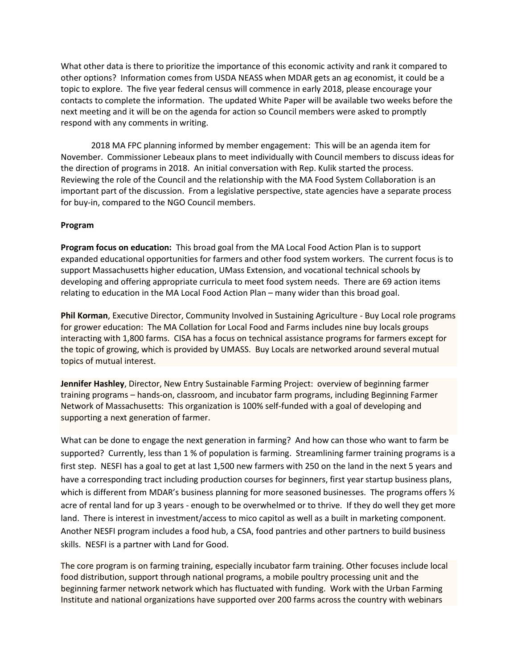What other data is there to prioritize the importance of this economic activity and rank it compared to other options? Information comes from USDA NEASS when MDAR gets an ag economist, it could be a topic to explore. The five year federal census will commence in early 2018, please encourage your contacts to complete the information. The updated White Paper will be available two weeks before the next meeting and it will be on the agenda for action so Council members were asked to promptly respond with any comments in writing.

2018 MA FPC planning informed by member engagement: This will be an agenda item for November. Commissioner Lebeaux plans to meet individually with Council members to discuss ideas for the direction of programs in 2018. An initial conversation with Rep. Kulik started the process. Reviewing the role of the Council and the relationship with the MA Food System Collaboration is an important part of the discussion. From a legislative perspective, state agencies have a separate process for buy-in, compared to the NGO Council members.

### **Program**

**Program focus on education:** This broad goal from the MA Local Food Action Plan is to support expanded educational opportunities for farmers and other food system workers. The current focus is to support Massachusetts higher education, UMass Extension, and vocational technical schools by developing and offering appropriate curricula to meet food system needs. There are 69 action items relating to education in the MA Local Food Action Plan – many wider than this broad goal.

**Phil Korman**, Executive Director, Community Involved in Sustaining Agriculture - Buy Local role programs for grower education: The MA Collation for Local Food and Farms includes nine buy locals groups interacting with 1,800 farms. CISA has a focus on technical assistance programs for farmers except for the topic of growing, which is provided by UMASS. Buy Locals are networked around several mutual topics of mutual interest.

**Jennifer Hashley**, Director, New Entry Sustainable Farming Project: overview of beginning farmer training programs – hands-on, classroom, and incubator farm programs, including Beginning Farmer Network of Massachusetts: This organization is 100% self-funded with a goal of developing and supporting a next generation of farmer.

What can be done to engage the next generation in farming? And how can those who want to farm be supported? Currently, less than 1 % of population is farming. Streamlining farmer training programs is a first step. NESFI has a goal to get at last 1,500 new farmers with 250 on the land in the next 5 years and have a corresponding tract including production courses for beginners, first year startup business plans, which is different from MDAR's business planning for more seasoned businesses. The programs offers  $\frac{1}{2}$ acre of rental land for up 3 years - enough to be overwhelmed or to thrive. If they do well they get more land. There is interest in investment/access to mico capitol as well as a built in marketing component. Another NESFI program includes a food hub, a CSA, food pantries and other partners to build business skills. NESFI is a partner with Land for Good.

The core program is on farming training, especially incubator farm training. Other focuses include local food distribution, support through national programs, a mobile poultry processing unit and the beginning farmer network network which has fluctuated with funding. Work with the Urban Farming Institute and national organizations have supported over 200 farms across the country with webinars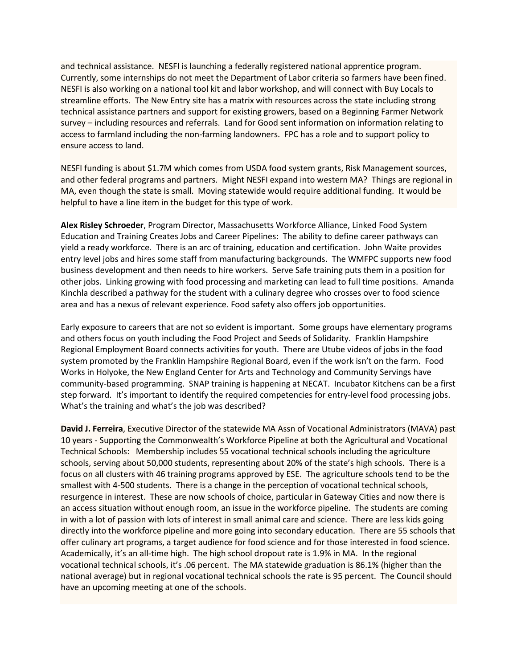and technical assistance. NESFI is launching a federally registered national apprentice program. Currently, some internships do not meet the Department of Labor criteria so farmers have been fined. NESFI is also working on a national tool kit and labor workshop, and will connect with Buy Locals to streamline efforts. The New Entry site has a matrix with resources across the state including strong technical assistance partners and support for existing growers, based on a Beginning Farmer Network survey – including resources and referrals. Land for Good sent information on information relating to access to farmland including the non-farming landowners. FPC has a role and to support policy to ensure access to land.

NESFI funding is about \$1.7M which comes from USDA food system grants, Risk Management sources, and other federal programs and partners. Might NESFI expand into western MA? Things are regional in MA, even though the state is small. Moving statewide would require additional funding. It would be helpful to have a line item in the budget for this type of work.

**Alex Risley Schroeder**, Program Director, Massachusetts Workforce Alliance, Linked Food System Education and Training Creates Jobs and Career Pipelines: The ability to define career pathways can yield a ready workforce. There is an arc of training, education and certification. John Waite provides entry level jobs and hires some staff from manufacturing backgrounds. The WMFPC supports new food business development and then needs to hire workers. Serve Safe training puts them in a position for other jobs. Linking growing with food processing and marketing can lead to full time positions. Amanda Kinchla described a pathway for the student with a culinary degree who crosses over to food science area and has a nexus of relevant experience. Food safety also offers job opportunities.

Early exposure to careers that are not so evident is important. Some groups have elementary programs and others focus on youth including the Food Project and Seeds of Solidarity. Franklin Hampshire Regional Employment Board connects activities for youth. There are Utube videos of jobs in the food system promoted by the Franklin Hampshire Regional Board, even if the work isn't on the farm. Food Works in Holyoke, the New England Center for Arts and Technology and Community Servings have community-based programming. SNAP training is happening at NECAT. Incubator Kitchens can be a first step forward. It's important to identify the required competencies for entry-level food processing jobs. What's the training and what's the job was described?

**David J. Ferreira**, Executive Director of the statewide MA Assn of Vocational Administrators (MAVA) past 10 years - Supporting the Commonwealth's Workforce Pipeline at both the Agricultural and Vocational Technical Schools: Membership includes 55 vocational technical schools including the agriculture schools, serving about 50,000 students, representing about 20% of the state's high schools. There is a focus on all clusters with 46 training programs approved by ESE. The agriculture schools tend to be the smallest with 4-500 students. There is a change in the perception of vocational technical schools, resurgence in interest. These are now schools of choice, particular in Gateway Cities and now there is an access situation without enough room, an issue in the workforce pipeline. The students are coming in with a lot of passion with lots of interest in small animal care and science. There are less kids going directly into the workforce pipeline and more going into secondary education. There are 55 schools that offer culinary art programs, a target audience for food science and for those interested in food science. Academically, it's an all-time high. The high school dropout rate is 1.9% in MA. In the regional vocational technical schools, it's .06 percent. The MA statewide graduation is 86.1% (higher than the national average) but in regional vocational technical schools the rate is 95 percent. The Council should have an upcoming meeting at one of the schools.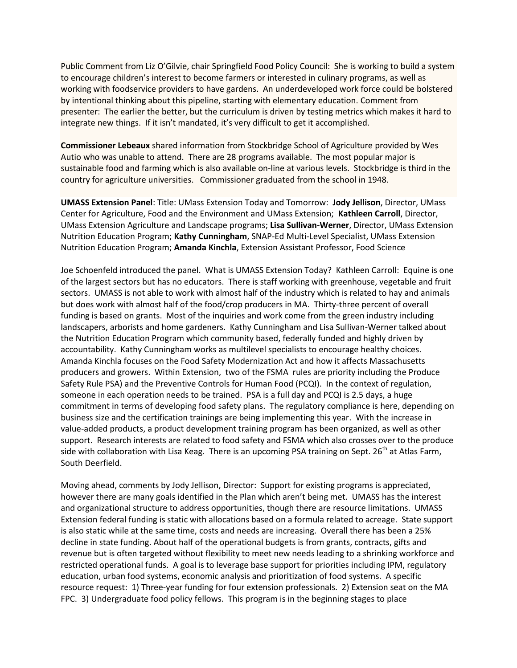Public Comment from Liz O'Gilvie, chair Springfield Food Policy Council: She is working to build a system to encourage children's interest to become farmers or interested in culinary programs, as well as working with foodservice providers to have gardens. An underdeveloped work force could be bolstered by intentional thinking about this pipeline, starting with elementary education. Comment from presenter: The earlier the better, but the curriculum is driven by testing metrics which makes it hard to integrate new things. If it isn't mandated, it's very difficult to get it accomplished.

**Commissioner Lebeaux** shared information from Stockbridge School of Agriculture provided by Wes Autio who was unable to attend. There are 28 programs available. The most popular major is sustainable food and farming which is also available on-line at various levels. Stockbridge is third in the country for agriculture universities. Commissioner graduated from the school in 1948.

**UMASS Extension Panel**: Title: UMass Extension Today and Tomorrow: **Jody Jellison**, Director, UMass Center for Agriculture, Food and the Environment and UMass Extension; **Kathleen Carroll**, Director, UMass Extension Agriculture and Landscape programs; **Lisa Sullivan-Werner**, Director, UMass Extension Nutrition Education Program; **Kathy Cunningham**, SNAP-Ed Multi-Level Specialist, UMass Extension Nutrition Education Program; **Amanda Kinchla**, Extension Assistant Professor, Food Science

Joe Schoenfeld introduced the panel. What is UMASS Extension Today? Kathleen Carroll: Equine is one of the largest sectors but has no educators. There is staff working with greenhouse, vegetable and fruit sectors. UMASS is not able to work with almost half of the industry which is related to hay and animals but does work with almost half of the food/crop producers in MA. Thirty-three percent of overall funding is based on grants. Most of the inquiries and work come from the green industry including landscapers, arborists and home gardeners. Kathy Cunningham and Lisa Sullivan-Werner talked about the Nutrition Education Program which community based, federally funded and highly driven by accountability. Kathy Cunningham works as multilevel specialists to encourage healthy choices. Amanda Kinchla focuses on the Food Safety Modernization Act and how it affects Massachusetts producers and growers. Within Extension, two of the FSMA rules are priority including the Produce Safety Rule PSA) and the Preventive Controls for Human Food (PCQI). In the context of regulation, someone in each operation needs to be trained. PSA is a full day and PCQI is 2.5 days, a huge commitment in terms of developing food safety plans. The regulatory compliance is here, depending on business size and the certification trainings are being implementing this year. With the increase in value-added products, a product development training program has been organized, as well as other support. Research interests are related to food safety and FSMA which also crosses over to the produce side with collaboration with Lisa Keag. There is an upcoming PSA training on Sept. 26<sup>th</sup> at Atlas Farm, South Deerfield.

Moving ahead, comments by Jody Jellison, Director: Support for existing programs is appreciated, however there are many goals identified in the Plan which aren't being met. UMASS has the interest and organizational structure to address opportunities, though there are resource limitations. UMASS Extension federal funding is static with allocations based on a formula related to acreage. State support is also static while at the same time, costs and needs are increasing. Overall there has been a 25% decline in state funding. About half of the operational budgets is from grants, contracts, gifts and revenue but is often targeted without flexibility to meet new needs leading to a shrinking workforce and restricted operational funds. A goal is to leverage base support for priorities including IPM, regulatory education, urban food systems, economic analysis and prioritization of food systems. A specific resource request: 1) Three-year funding for four extension professionals. 2) Extension seat on the MA FPC. 3) Undergraduate food policy fellows. This program is in the beginning stages to place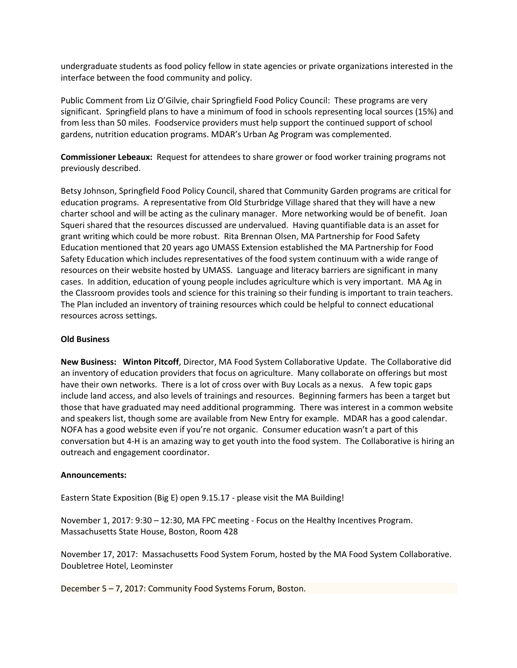undergraduate students as food policy fellow in state agencies or private organizations interested in the interface between the food community and policy.

Public Comment from Liz O'Gilvie, chair Springfield Food Policy Council: These programs are very significant. Springfield plans to have a minimum of food in schools representing local sources (15%) and from less than 50 miles. Foodservice providers must help support the continued support of school gardens, nutrition education programs. MDAR's Urban Ag Program was complemented.

**Commissioner Lebeaux:** Request for attendees to share grower or food worker training programs not previously described.

Betsy Johnson, Springfield Food Policy Council, shared that Community Garden programs are critical for education programs. A representative from Old Sturbridge Village shared that they will have a new charter school and will be acting as the culinary manager. More networking would be of benefit. Joan Squeri shared that the resources discussed are undervalued. Having quantifiable data is an asset for grant writing which could be more robust. Rita Brennan Olsen, MA Partnership for Food Safety Education mentioned that 20 years ago UMASS Extension established the MA Partnership for Food Safety Education which includes representatives of the food system continuum with a wide range of resources on their website hosted by UMASS. Language and literacy barriers are significant in many cases. In addition, education of young people includes agriculture which is very important. MA Ag in the Classroom provides tools and science for this training so their funding is important to train teachers. The Plan included an inventory of training resources which could be helpful to connect educational resources across settings.

## **Old Business**

**New Business: Winton Pitcoff**, Director, MA Food System Collaborative Update. The Collaborative did an inventory of education providers that focus on agriculture. Many collaborate on offerings but most have their own networks. There is a lot of cross over with Buy Locals as a nexus. A few topic gaps include land access, and also levels of trainings and resources. Beginning farmers has been a target but those that have graduated may need additional programming. There was interest in a common website and speakers list, though some are available from New Entry for example. MDAR has a good calendar. NOFA has a good website even if you're not organic. Consumer education wasn't a part of this conversation but 4-H is an amazing way to get youth into the food system. The Collaborative is hiring an outreach and engagement coordinator.

#### **Announcements:**

Eastern State Exposition (Big E) open 9.15.17 - please visit the MA Building!

November 1, 2017: 9:30 – 12:30, MA FPC meeting - Focus on the Healthy Incentives Program. Massachusetts State House, Boston, Room 428

November 17, 2017: Massachusetts Food System Forum, hosted by the MA Food System Collaborative. Doubletree Hotel, Leominster

December 5 – 7, 2017: Community Food Systems Forum, Boston.